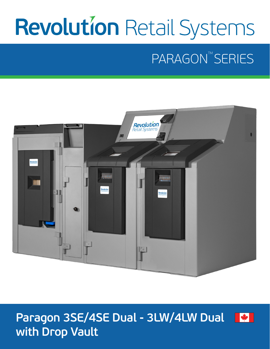# **Revolution Retail Systems**

# PARAGON<sup>TM</sup> SERIES



### **Paragon 3SE/4SE Dual - 3LW/4LW Dual A with Drop Vault**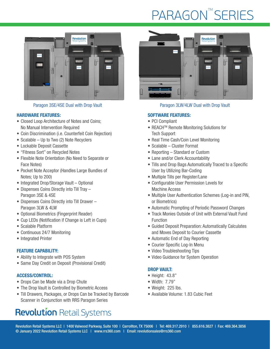# **PARAGON™SERIES**



#### HARDWARE FEATURES:

- Closed Loop Architecture of Notes and Coins; No Manual Intervention Required
- Coin Discrimination (i.e. Counterfeit Coin Rejection)
- Scalable Up to Two (2) Note Recyclers
- Lockable Deposit Cassette
- "Fitness Sort" on Recycled Notes
- Flexible Note Orientation (No Need to Separate or Face Notes)
- Pocket Note Acceptor (Handles Large Bundles of Notes; Up to 200)
- Integrated Drop/Storage Vault Optional
- Dispenses Coins Directly into Till Tray Paragon 3SE & 4SE
- Dispenses Coins Directly into Till Drawer Paragon 3LW & 4LW
- Optional Biometrics (Fingerprint Reader)
- Cup LEDs (Notification if Change is Left in Cups)
- Scalable Platform
- Continuous 24/7 Monitoring
- Integrated Printer

#### FEATURE CAPABILITY:

- Ability to Integrate with POS System
- Same Day Credit on Deposit (Provisional Credit)

#### ACCESS/CONTROL:

- Drops Can be Made via a Drop Chute
- The Drop Vault is Controlled by Biometric Access
- Till Drawers, Packages, or Drops Can be Tracked by Barcode Scanner in Conjunction with RRS Paragon Series

### **Revolution Retail Systems**



#### Paragon 3SE/4SE Dual with Drop Vault Paragon 3LW/4LW Dual with Drop Vault

#### SOFTWARE FEATURES:

- PCI Compliant
- REACH<sup>™</sup> Remote Monitoring Solutions for Tech Support
- Real Time Cash/Coin Level Monitoring
- Scalable Cluster Format
- Reporting Standard or Custom
- Lane and/or Clerk Accountability
- Tills and Drop Bags Automatically Traced to a Specific User by Utilizing Bar-Coding
- Multiple Tills per Register/Lane
- Configurable User Permission Levels for Machine Access
- Multiple User Authentication Schemes (Log-in and PIN, or Biometrics)
- Automatic Prompting of Periodic Password Changes
- Track Monies Outside of Unit with External Vault Fund Function
- Guided Deposit Preparation: Automatically Calculates and Moves Deposit to Courier Cassette
- Automatic End of Day Reporting
- Courier Specific Log-In Menu
- Video Troubleshooting Tips
- Video Guidance for System Operation

#### DROP VAULT:

- Height: 43.8"
- Width: 7.79"
- Weight: 225 lbs.
- Available Volume: 1.83 Cubic Feet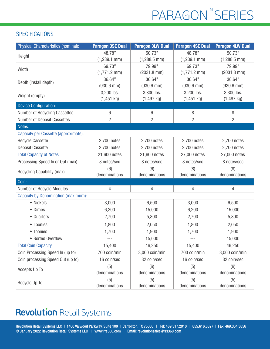# PARAGON<sup>™</sup>SERIES

#### **SPECIFICATIONS**

| Physical Characteristics (nominal):        | <b>Paragon 3SE Dual</b> | <b>Paragon 3LW Dual</b> | <b>Paragon 4SE Dual</b> | <b>Paragon 4LW Dual</b> |
|--------------------------------------------|-------------------------|-------------------------|-------------------------|-------------------------|
| Height                                     | 48.78"                  | 50.73"                  | 48.78"                  | 50.73"                  |
|                                            | $(1,239.1$ mm)          | $(1,288.5$ mm $)$       | $(1,239.1$ mm)          | $(1,288.5$ mm)          |
| Width                                      | 69.73"                  | 79.99"                  | 69.73"                  | 79.99"                  |
|                                            | $(1,771.2$ mm)          | $(2031.8$ mm $)$        | $(1,771.2$ mm)          | $(2031.8$ mm $)$        |
| Depth (install depth)                      | 36.64"                  | 36.64"                  | 36.64"                  | 36.64"                  |
|                                            | $(930.6$ mm $)$         | $(930.6$ mm $)$         | $(930.6$ mm $)$         | $(930.6$ mm)            |
| Weight (empty)                             | 3,200 lbs.              | 3,300 lbs.              | 3,200 lbs.              | 3,300 lbs.              |
|                                            | $(1, 451$ kg)           | $(1,497$ kg)            | $(1, 451$ kg)           | $(1, 497$ kg)           |
| <b>Device Configuration:</b>               |                         |                         |                         |                         |
| Number of Recycling Cassettes              | 6                       | 6                       | 8                       | $\, 8$                  |
| Number of Deposit Cassettes                | $\overline{2}$          | $\overline{2}$          | $\overline{2}$          | $\overline{2}$          |
| Notes:                                     |                         |                         |                         |                         |
| Capacity per Cassette (approximate):       |                         |                         |                         |                         |
| <b>Recycle Cassette</b>                    | 2,700 notes             | 2,700 notes             | 2,700 notes             | 2,700 notes             |
| <b>Deposit Cassette</b>                    | 2,700 notes             | 2,700 notes             | 2,700 notes             | 2,700 notes             |
| <b>Total Capacity of Notes</b>             | 21,600 notes            | 21,600 notes            | 27,000 notes            | 27,000 notes            |
| Processing Speed In or Out (max)           | 8 notes/sec             | 8 notes/sec             | 8 notes/sec             | 8 notes/sec             |
| Recycling Capability (max)                 | (6)<br>denominations    | (6)<br>denominations    | (8)<br>denominations    | (8)<br>denominations    |
| Coin:                                      |                         |                         |                         |                         |
|                                            |                         |                         |                         |                         |
| Number of Recycle Modules                  | 4                       | 4                       | 4                       | 4                       |
| <b>Capacity by Denomination (maximum):</b> |                         |                         |                         |                         |
| • Nickels                                  | 3,000                   | 6,500                   | 3,000                   | 6,500                   |
| • Dimes                                    | 6,200                   | 15,000                  | 6,200                   | 15,000                  |
| • Quarters                                 | 2,700                   | 5,800                   | 2,700                   | 5,800                   |
| • Loonies                                  | 1,800                   | 2,050                   | 1,800                   | 2,050                   |
| • Toonies                                  | 1,700                   | 1,900                   | 1,700                   | 1,900                   |
| • Sorted Overflow                          | $---$                   | 15,000                  | $--\,$                  | 15,000                  |
| <b>Total Coin Capacity</b>                 | 15,400                  | 46,250                  | 15,400                  | 46,250                  |
| Coin Processing Speed In (up to)           | 700 coin/min            | 3,000 coin/min          | 700 coin/min            | 3,000 coin/min          |
| Coin processing Speed Out (up to)          | 16 coin/sec             | 32 coin/sec             | 16 coin/sec             | 32 coin/sec             |
| Accepts Up To                              | (5)                     | (6)                     | (5)                     | (6)                     |
|                                            | denominations           | denominations           | denominations           | denominations           |
| Recycle Up To                              | (5)<br>denominations    | (5)<br>denominations    | (5)<br>denominations    | (5)<br>denominations    |

### **Revolution Retail Systems**

Revolution Retail Systems LLC | 1400 Valwood Parkway, Suite 100 | Carrollton, TX 75006 | Tel: 469.317.2910 | 855.616.3827 | Fax: 469.364.3856 © January 2022 Revolution Retail Systems LLC | www.rrs360.com | Email: revolutionsales@rrs360.com